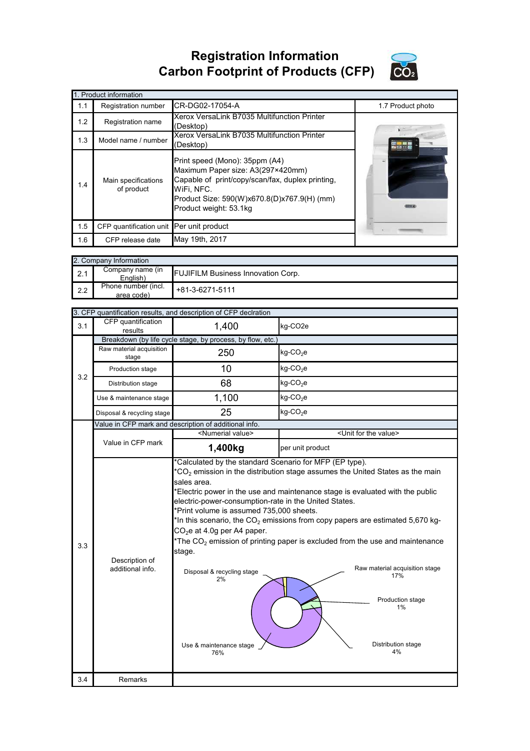## **Registration Information Carbon Footprint of Products (CFP)**



| 1. Product information |                                          |                                                                                                                                                                                                                |                   |  |  |
|------------------------|------------------------------------------|----------------------------------------------------------------------------------------------------------------------------------------------------------------------------------------------------------------|-------------------|--|--|
| 1.1                    | Registration number                      | CR-DG02-17054-A                                                                                                                                                                                                | 1.7 Product photo |  |  |
| 1.2                    | Registration name                        | Xerox VersaLink B7035 Multifunction Printer<br>(Desktop)                                                                                                                                                       |                   |  |  |
| 1.3                    | Model name / number                      | Xerox VersaLink B7035 Multifunction Printer<br>(Desktop)                                                                                                                                                       |                   |  |  |
| 1.4                    | Main specifications<br>of product        | Print speed (Mono): 35ppm (A4)<br>Maximum Paper size: A3(297×420mm)<br>Capable of print/copy/scan/fax, duplex printing,<br>WiFi, NFC.<br>Product Size: 590(W)x670.8(D)x767.9(H) (mm)<br>Product weight: 53.1kg |                   |  |  |
| 1.5                    | CFP quantification unit Per unit product |                                                                                                                                                                                                                |                   |  |  |
| 1.6                    | CFP release date                         | May 19th, 2017                                                                                                                                                                                                 |                   |  |  |

|     | 2. Company Information            |                                           |  |  |  |
|-----|-----------------------------------|-------------------------------------------|--|--|--|
| 2.1 | Company name (in<br>English)      | <b>FUJIFILM Business Innovation Corp.</b> |  |  |  |
| 2.2 | Phone number (incl.<br>area code) | $+81-3-6271-5111$                         |  |  |  |

|     | 3. CFP quantification results, and description of CFP declration |                                                                                                                                                                                                                                                                                             |                                                                                                                                                                                                                                                                                                                                                                                                                                      |  |  |
|-----|------------------------------------------------------------------|---------------------------------------------------------------------------------------------------------------------------------------------------------------------------------------------------------------------------------------------------------------------------------------------|--------------------------------------------------------------------------------------------------------------------------------------------------------------------------------------------------------------------------------------------------------------------------------------------------------------------------------------------------------------------------------------------------------------------------------------|--|--|
| 3.1 | CFP quantification<br>results                                    | 1,400                                                                                                                                                                                                                                                                                       | kg-CO <sub>2e</sub>                                                                                                                                                                                                                                                                                                                                                                                                                  |  |  |
|     | Breakdown (by life cycle stage, by process, by flow, etc.)       |                                                                                                                                                                                                                                                                                             |                                                                                                                                                                                                                                                                                                                                                                                                                                      |  |  |
|     | Raw material acquisition<br>stage                                | 250                                                                                                                                                                                                                                                                                         | $kg$ -CO <sub>2</sub> e                                                                                                                                                                                                                                                                                                                                                                                                              |  |  |
| 3.2 | Production stage                                                 | 10                                                                                                                                                                                                                                                                                          | $kg$ -CO <sub>2</sub> e                                                                                                                                                                                                                                                                                                                                                                                                              |  |  |
|     | Distribution stage                                               | 68                                                                                                                                                                                                                                                                                          | $kg$ -CO <sub>2</sub> e                                                                                                                                                                                                                                                                                                                                                                                                              |  |  |
|     | Use & maintenance stage                                          | 1,100                                                                                                                                                                                                                                                                                       | $kg$ -CO <sub>2</sub> e                                                                                                                                                                                                                                                                                                                                                                                                              |  |  |
|     | Disposal & recycling stage                                       | 25                                                                                                                                                                                                                                                                                          | $kg$ -CO <sub>2</sub> e                                                                                                                                                                                                                                                                                                                                                                                                              |  |  |
|     |                                                                  | Value in CFP mark and description of additional info.                                                                                                                                                                                                                                       |                                                                                                                                                                                                                                                                                                                                                                                                                                      |  |  |
|     |                                                                  | <numerial value=""></numerial>                                                                                                                                                                                                                                                              | <unit for="" the="" value=""></unit>                                                                                                                                                                                                                                                                                                                                                                                                 |  |  |
|     | Value in CFP mark                                                | 1,400kg                                                                                                                                                                                                                                                                                     | per unit product                                                                                                                                                                                                                                                                                                                                                                                                                     |  |  |
| 3.3 | Description of<br>additional info.                               | *Calculated by the standard Scenario for MFP (EP type).<br>sales area.<br>electric-power-consumption-rate in the United States.<br>*Print volume is assumed 735,000 sheets.<br>$CO2e$ at 4.0g per A4 paper.<br>stage.<br>Disposal & recycling stage<br>2%<br>Use & maintenance stage<br>76% | $*CO2$ emission in the distribution stage assumes the United States as the main<br>*Electric power in the use and maintenance stage is evaluated with the public<br>*In this scenario, the $CO2$ emissions from copy papers are estimated 5,670 kg-<br>*The $CO2$ emission of printing paper is excluded from the use and maintenance<br>Raw material acquisition stage<br>17%<br>Production stage<br>1%<br>Distribution stage<br>4% |  |  |
|     |                                                                  |                                                                                                                                                                                                                                                                                             |                                                                                                                                                                                                                                                                                                                                                                                                                                      |  |  |